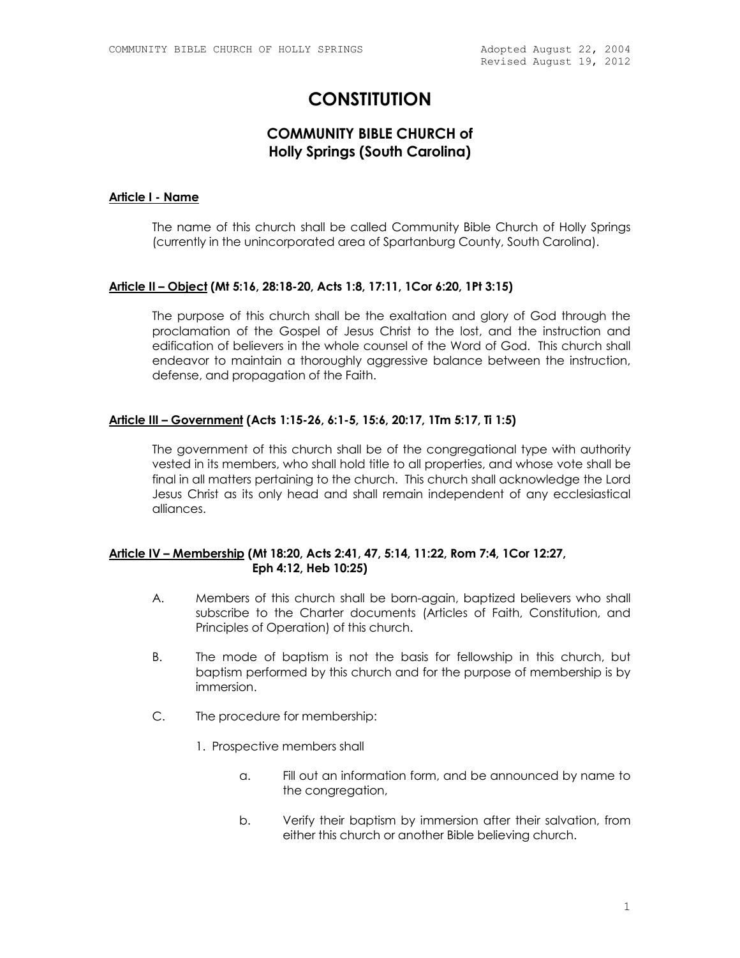Revised August 19, 2012

# **CONSTITUTION**

# **COMMUNITY BIBLE CHURCH of Holly Springs (South Carolina)**

#### **Article I - Name**

The name of this church shall be called Community Bible Church of Holly Springs (currently in the unincorporated area of Spartanburg County, South Carolina).

#### **Article II – Object (Mt 5:16, 28:18-20, Acts 1:8, 17:11, 1Cor 6:20, 1Pt 3:15)**

The purpose of this church shall be the exaltation and glory of God through the proclamation of the Gospel of Jesus Christ to the lost, and the instruction and edification of believers in the whole counsel of the Word of God. This church shall endeavor to maintain a thoroughly aggressive balance between the instruction, defense, and propagation of the Faith.

#### **Article III – Government (Acts 1:15-26, 6:1-5, 15:6, 20:17, 1Tm 5:17, Ti 1:5)**

The government of this church shall be of the congregational type with authority vested in its members, who shall hold title to all properties, and whose vote shall be final in all matters pertaining to the church. This church shall acknowledge the Lord Jesus Christ as its only head and shall remain independent of any ecclesiastical alliances.

#### **Article IV – Membership (Mt 18:20, Acts 2:41, 47, 5:14, 11:22, Rom 7:4, 1Cor 12:27, Eph 4:12, Heb 10:25)**

- A. Members of this church shall be born-again, baptized believers who shall subscribe to the Charter documents (Articles of Faith, Constitution, and Principles of Operation) of this church.
- B. The mode of baptism is not the basis for fellowship in this church, but baptism performed by this church and for the purpose of membership is by immersion.
- C. The procedure for membership:
	- 1. Prospective members shall
		- a. Fill out an information form, and be announced by name to the congregation,
		- b. Verify their baptism by immersion after their salvation, from either this church or another Bible believing church.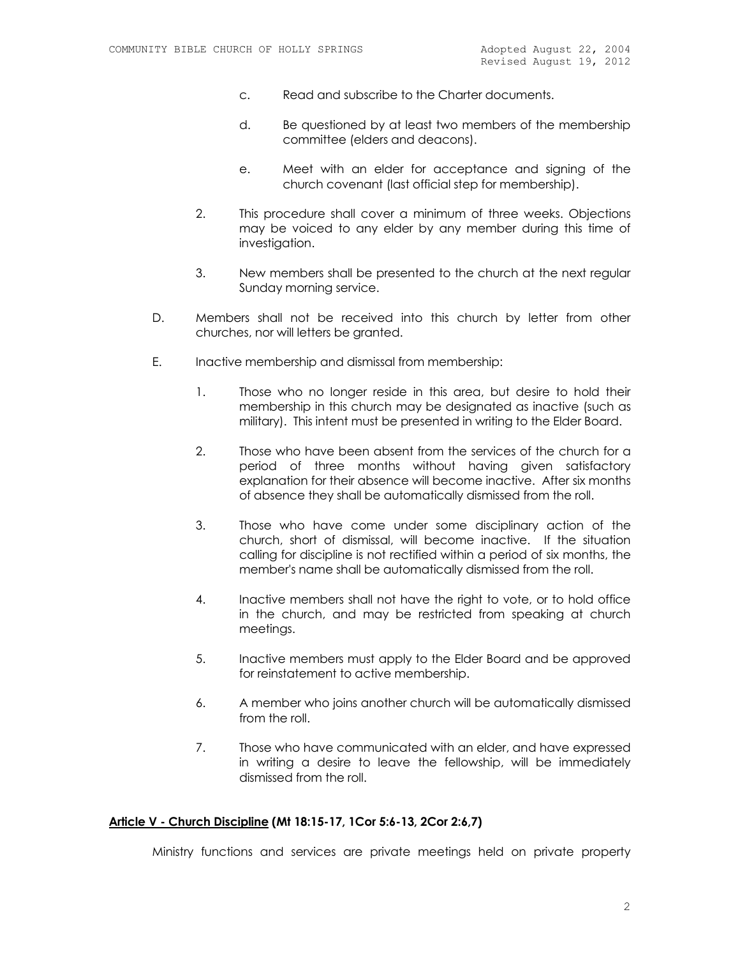- c. Read and subscribe to the Charter documents.
- d. Be questioned by at least two members of the membership committee (elders and deacons).
- e. Meet with an elder for acceptance and signing of the church covenant (last official step for membership).
- 2. This procedure shall cover a minimum of three weeks. Objections may be voiced to any elder by any member during this time of investigation.
- 3. New members shall be presented to the church at the next regular Sunday morning service.
- D. Members shall not be received into this church by letter from other churches, nor will letters be granted.
- E. Inactive membership and dismissal from membership:
	- 1. Those who no longer reside in this area, but desire to hold their membership in this church may be designated as inactive (such as military). This intent must be presented in writing to the Elder Board.
	- 2. Those who have been absent from the services of the church for a period of three months without having given satisfactory explanation for their absence will become inactive. After six months of absence they shall be automatically dismissed from the roll.
	- 3. Those who have come under some disciplinary action of the church, short of dismissal, will become inactive. If the situation calling for discipline is not rectified within a period of six months, the member's name shall be automatically dismissed from the roll.
	- 4. Inactive members shall not have the right to vote, or to hold office in the church, and may be restricted from speaking at church meetings.
	- 5. Inactive members must apply to the Elder Board and be approved for reinstatement to active membership.
	- 6. A member who joins another church will be automatically dismissed from the roll.
	- 7. Those who have communicated with an elder, and have expressed in writing a desire to leave the fellowship, will be immediately dismissed from the roll.

#### **Article V - Church Discipline (Mt 18:15-17, 1Cor 5:6-13, 2Cor 2:6,7)**

Ministry functions and services are private meetings held on private property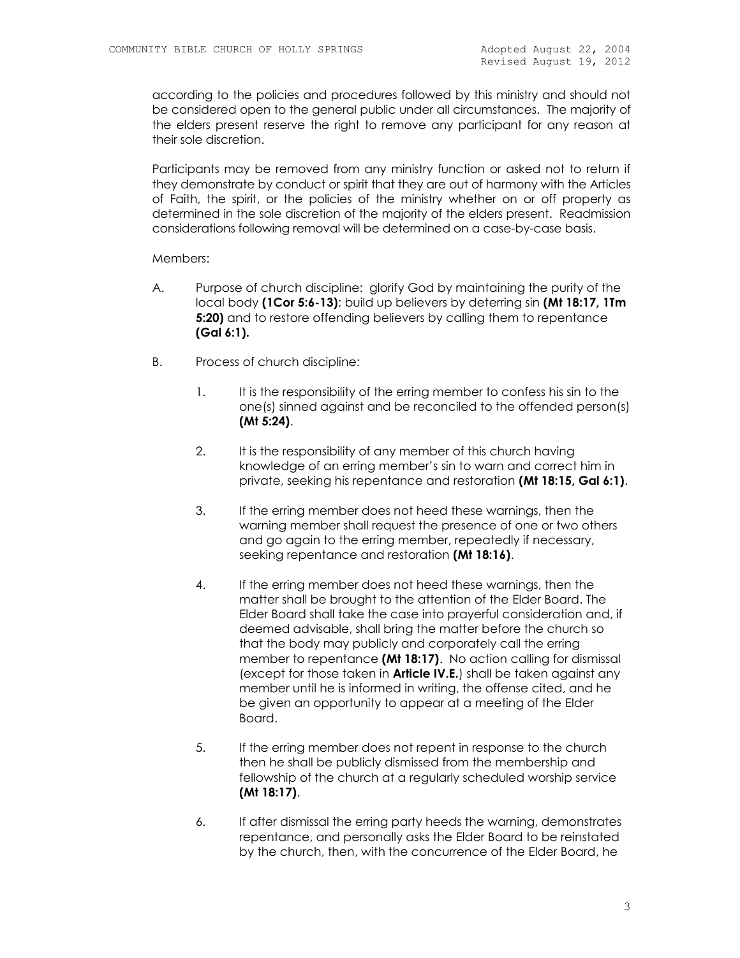according to the policies and procedures followed by this ministry and should not be considered open to the general public under all circumstances. The majority of the elders present reserve the right to remove any participant for any reason at their sole discretion.

Participants may be removed from any ministry function or asked not to return if they demonstrate by conduct or spirit that they are out of harmony with the Articles of Faith, the spirit, or the policies of the ministry whether on or off property as determined in the sole discretion of the majority of the elders present. Readmission considerations following removal will be determined on a case-by-case basis.

#### Members:

- A. Purpose of church discipline: glorify God by maintaining the purity of the local body **(1Cor 5:6-13)**; build up believers by deterring sin **(Mt 18:17, 1Tm 5:20)** and to restore offending believers by calling them to repentance **(Gal 6:1).**
- B. Process of church discipline:
	- 1. It is the responsibility of the erring member to confess his sin to the one(s) sinned against and be reconciled to the offended person(s) **(Mt 5:24)**.
	- 2. It is the responsibility of any member of this church having knowledge of an erring member's sin to warn and correct him in private, seeking his repentance and restoration **(Mt 18:15, Gal 6:1)**.
	- 3. If the erring member does not heed these warnings, then the warning member shall request the presence of one or two others and go again to the erring member, repeatedly if necessary, seeking repentance and restoration **(Mt 18:16)**.
	- 4. If the erring member does not heed these warnings, then the matter shall be brought to the attention of the Elder Board. The Elder Board shall take the case into prayerful consideration and, if deemed advisable, shall bring the matter before the church so that the body may publicly and corporately call the erring member to repentance **(Mt 18:17)**. No action calling for dismissal (except for those taken in **Article IV.E.**) shall be taken against any member until he is informed in writing, the offense cited, and he be given an opportunity to appear at a meeting of the Elder Board.
	- 5. If the erring member does not repent in response to the church then he shall be publicly dismissed from the membership and fellowship of the church at a regularly scheduled worship service **(Mt 18:17)**.
	- 6. If after dismissal the erring party heeds the warning, demonstrates repentance, and personally asks the Elder Board to be reinstated by the church, then, with the concurrence of the Elder Board, he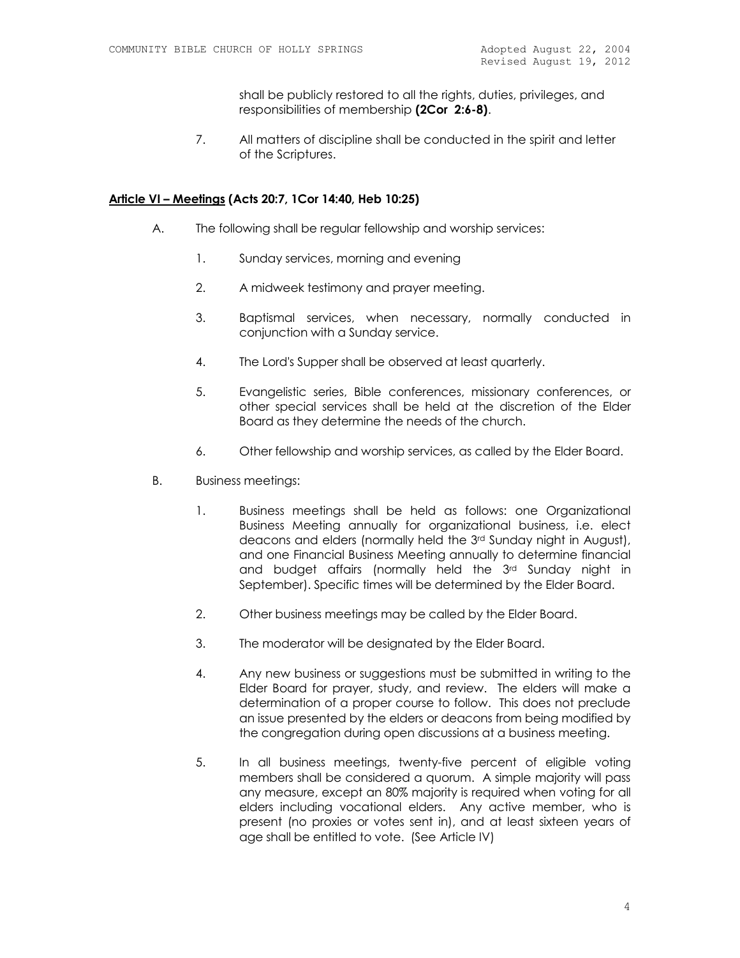shall be publicly restored to all the rights, duties, privileges, and responsibilities of membership **(2Cor 2:6-8)**.

7. All matters of discipline shall be conducted in the spirit and letter of the Scriptures.

#### **Article VI – Meetings (Acts 20:7, 1Cor 14:40, Heb 10:25)**

- A. The following shall be regular fellowship and worship services:
	- 1. Sunday services, morning and evening
	- 2. A midweek testimony and prayer meeting.
	- 3. Baptismal services, when necessary, normally conducted in conjunction with a Sunday service.
	- 4. The Lord's Supper shall be observed at least quarterly.
	- 5. Evangelistic series, Bible conferences, missionary conferences, or other special services shall be held at the discretion of the Elder Board as they determine the needs of the church.
	- 6. Other fellowship and worship services, as called by the Elder Board.
- B. Business meetings:
	- 1. Business meetings shall be held as follows: one Organizational Business Meeting annually for organizational business, i.e. elect deacons and elders (normally held the 3rd Sunday night in August), and one Financial Business Meeting annually to determine financial and budget affairs (normally held the 3<sup>rd</sup> Sunday night in September). Specific times will be determined by the Elder Board.
	- 2. Other business meetings may be called by the Elder Board.
	- 3. The moderator will be designated by the Elder Board.
	- 4. Any new business or suggestions must be submitted in writing to the Elder Board for prayer, study, and review. The elders will make a determination of a proper course to follow. This does not preclude an issue presented by the elders or deacons from being modified by the congregation during open discussions at a business meeting.
	- 5. In all business meetings, twenty-five percent of eligible voting members shall be considered a quorum. A simple majority will pass any measure, except an 80% majority is required when voting for all elders including vocational elders. Any active member, who is present (no proxies or votes sent in), and at least sixteen years of age shall be entitled to vote. (See Article IV)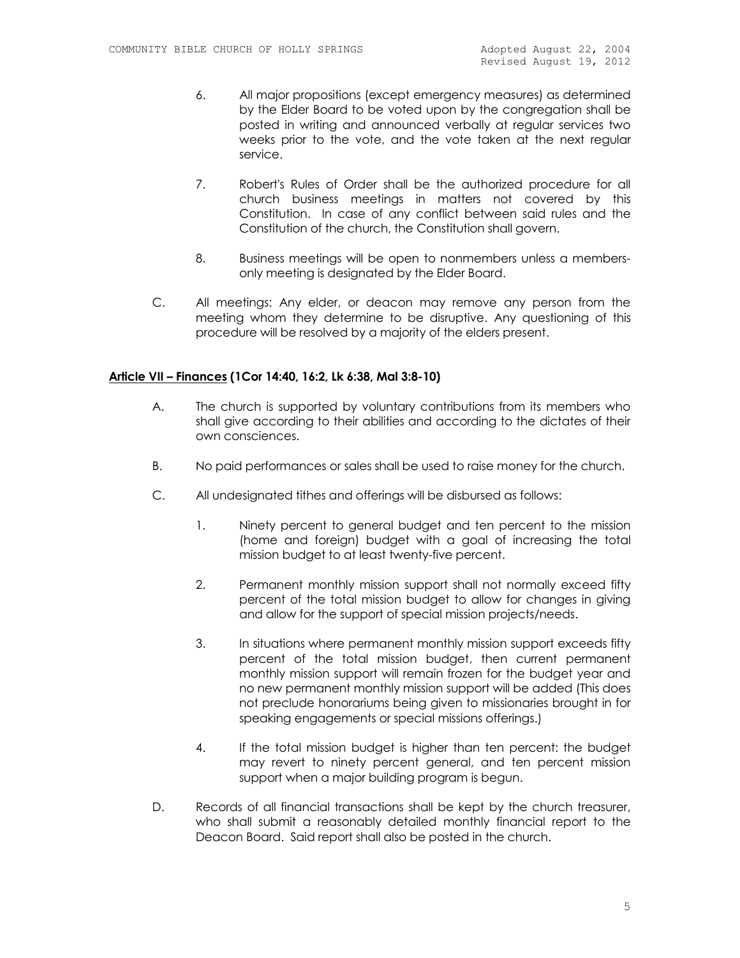- 6. All major propositions (except emergency measures) as determined by the Elder Board to be voted upon by the congregation shall be posted in writing and announced verbally at regular services two weeks prior to the vote, and the vote taken at the next regular service.
- 7. Robert's Rules of Order shall be the authorized procedure for all church business meetings in matters not covered by this Constitution. In case of any conflict between said rules and the Constitution of the church, the Constitution shall govern.
- 8. Business meetings will be open to nonmembers unless a membersonly meeting is designated by the Elder Board.
- C. All meetings: Any elder, or deacon may remove any person from the meeting whom they determine to be disruptive. Any questioning of this procedure will be resolved by a majority of the elders present.

#### **Article VII – Finances (1Cor 14:40, 16:2, Lk 6:38, Mal 3:8-10)**

- A. The church is supported by voluntary contributions from its members who shall give according to their abilities and according to the dictates of their own consciences.
- B. No paid performances or sales shall be used to raise money for the church.
- C. All undesignated tithes and offerings will be disbursed as follows:
	- 1. Ninety percent to general budget and ten percent to the mission (home and foreign) budget with a goal of increasing the total mission budget to at least twenty-five percent.
	- 2. Permanent monthly mission support shall not normally exceed fifty percent of the total mission budget to allow for changes in giving and allow for the support of special mission projects/needs.
	- 3. In situations where permanent monthly mission support exceeds fifty percent of the total mission budget, then current permanent monthly mission support will remain frozen for the budget year and no new permanent monthly mission support will be added (This does not preclude honorariums being given to missionaries brought in for speaking engagements or special missions offerings.)
	- 4. If the total mission budget is higher than ten percent: the budget may revert to ninety percent general, and ten percent mission support when a major building program is begun.
- D. Records of all financial transactions shall be kept by the church treasurer, who shall submit a reasonably detailed monthly financial report to the Deacon Board. Said report shall also be posted in the church.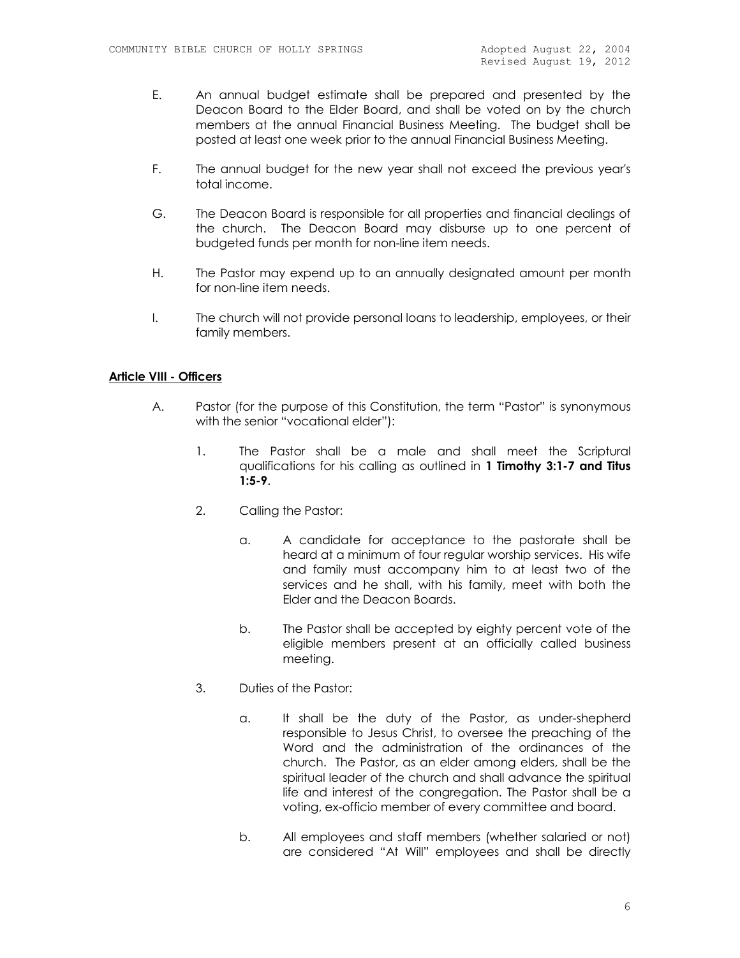- E. An annual budget estimate shall be prepared and presented by the Deacon Board to the Elder Board, and shall be voted on by the church members at the annual Financial Business Meeting. The budget shall be posted at least one week prior to the annual Financial Business Meeting.
- F. The annual budget for the new year shall not exceed the previous year's total income.
- G. The Deacon Board is responsible for all properties and financial dealings of the church. The Deacon Board may disburse up to one percent of budgeted funds per month for non-line item needs.
- H. The Pastor may expend up to an annually designated amount per month for non-line item needs.
- I. The church will not provide personal loans to leadership, employees, or their family members.

#### **Article VIII - Officers**

- A. Pastor (for the purpose of this Constitution, the term "Pastor" is synonymous with the senior "vocational elder"):
	- 1. The Pastor shall be a male and shall meet the Scriptural qualifications for his calling as outlined in **1 Timothy 3:1-7 and Titus 1:5-9**.
	- 2. Calling the Pastor:
		- a. A candidate for acceptance to the pastorate shall be heard at a minimum of four regular worship services. His wife and family must accompany him to at least two of the services and he shall, with his family, meet with both the Elder and the Deacon Boards.
		- b. The Pastor shall be accepted by eighty percent vote of the eligible members present at an officially called business meeting.
	- 3. Duties of the Pastor:
		- a. It shall be the duty of the Pastor, as under-shepherd responsible to Jesus Christ, to oversee the preaching of the Word and the administration of the ordinances of the church. The Pastor, as an elder among elders, shall be the spiritual leader of the church and shall advance the spiritual life and interest of the congregation. The Pastor shall be a voting, ex-officio member of every committee and board.
		- b. All employees and staff members (whether salaried or not) are considered "At Will" employees and shall be directly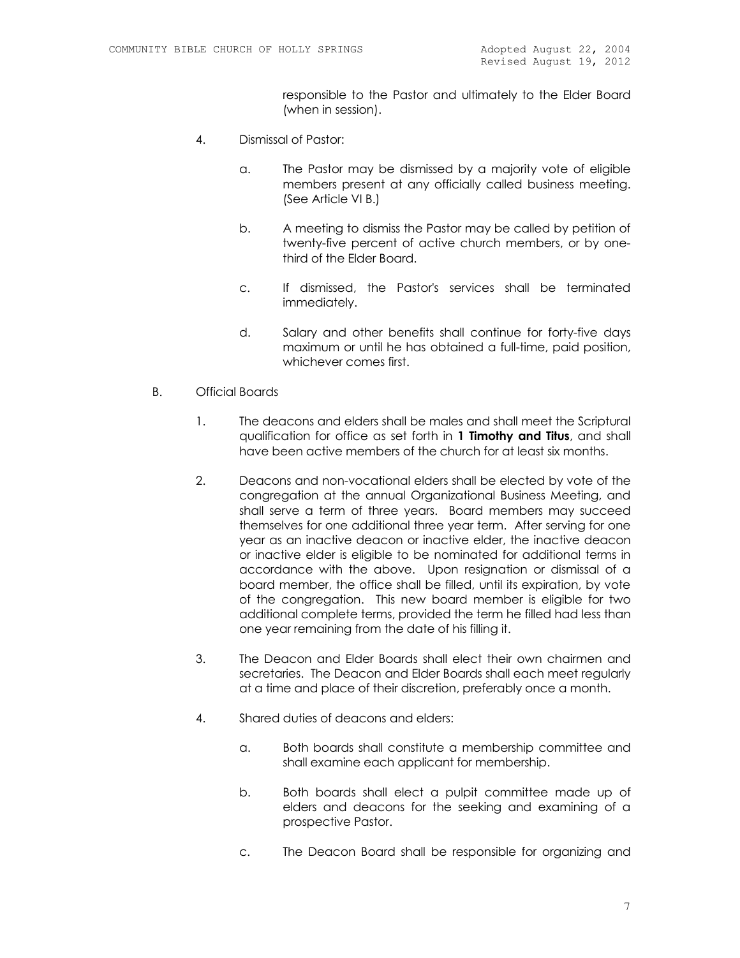responsible to the Pastor and ultimately to the Elder Board (when in session).

- 4. Dismissal of Pastor:
	- a. The Pastor may be dismissed by a majority vote of eligible members present at any officially called business meeting. (See Article VI B.)
	- b. A meeting to dismiss the Pastor may be called by petition of twenty-five percent of active church members, or by onethird of the Elder Board.
	- c. If dismissed, the Pastor's services shall be terminated immediately.
	- d. Salary and other benefits shall continue for forty-five days maximum or until he has obtained a full-time, paid position, whichever comes first.
- B. Official Boards
	- 1. The deacons and elders shall be males and shall meet the Scriptural qualification for office as set forth in **1 Timothy and Titus**, and shall have been active members of the church for at least six months.
	- 2. Deacons and non-vocational elders shall be elected by vote of the congregation at the annual Organizational Business Meeting, and shall serve a term of three years. Board members may succeed themselves for one additional three year term. After serving for one year as an inactive deacon or inactive elder, the inactive deacon or inactive elder is eligible to be nominated for additional terms in accordance with the above. Upon resignation or dismissal of a board member, the office shall be filled, until its expiration, by vote of the congregation. This new board member is eligible for two additional complete terms, provided the term he filled had less than one year remaining from the date of his filling it.
	- 3. The Deacon and Elder Boards shall elect their own chairmen and secretaries. The Deacon and Elder Boards shall each meet regularly at a time and place of their discretion, preferably once a month.
	- 4. Shared duties of deacons and elders:
		- a. Both boards shall constitute a membership committee and shall examine each applicant for membership.
		- b. Both boards shall elect a pulpit committee made up of elders and deacons for the seeking and examining of a prospective Pastor.
		- c. The Deacon Board shall be responsible for organizing and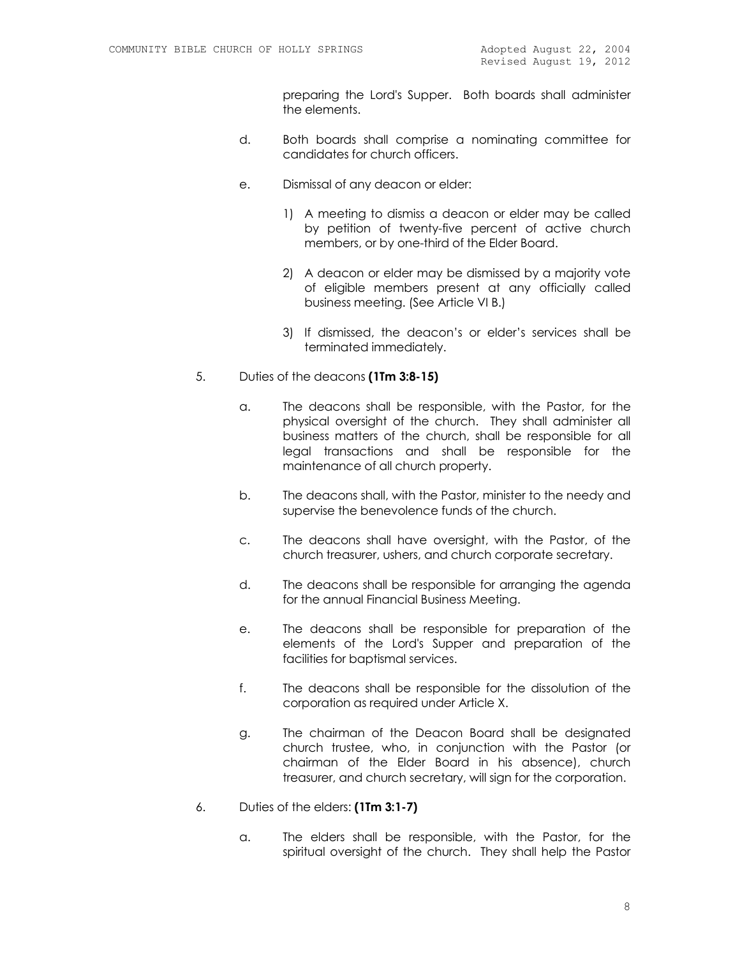preparing the Lord's Supper. Both boards shall administer the elements.

- d. Both boards shall comprise a nominating committee for candidates for church officers.
- e. Dismissal of any deacon or elder:
	- 1) A meeting to dismiss a deacon or elder may be called by petition of twenty-five percent of active church members, or by one-third of the Elder Board.
	- 2) A deacon or elder may be dismissed by a majority vote of eligible members present at any officially called business meeting. (See Article VI B.)
	- 3) If dismissed, the deacon's or elder's services shall be terminated immediately.
- 5. Duties of the deacons **(1Tm 3:8-15)**
	- a. The deacons shall be responsible, with the Pastor, for the physical oversight of the church. They shall administer all business matters of the church, shall be responsible for all legal transactions and shall be responsible for the maintenance of all church property.
	- b. The deacons shall, with the Pastor, minister to the needy and supervise the benevolence funds of the church.
	- c. The deacons shall have oversight, with the Pastor, of the church treasurer, ushers, and church corporate secretary.
	- d. The deacons shall be responsible for arranging the agenda for the annual Financial Business Meeting.
	- e. The deacons shall be responsible for preparation of the elements of the Lord's Supper and preparation of the facilities for baptismal services.
	- f. The deacons shall be responsible for the dissolution of the corporation as required under Article X.
	- g. The chairman of the Deacon Board shall be designated church trustee, who, in conjunction with the Pastor (or chairman of the Elder Board in his absence), church treasurer, and church secretary, will sign for the corporation.

#### 6. Duties of the elders: **(1Tm 3:1-7)**

a. The elders shall be responsible, with the Pastor, for the spiritual oversight of the church. They shall help the Pastor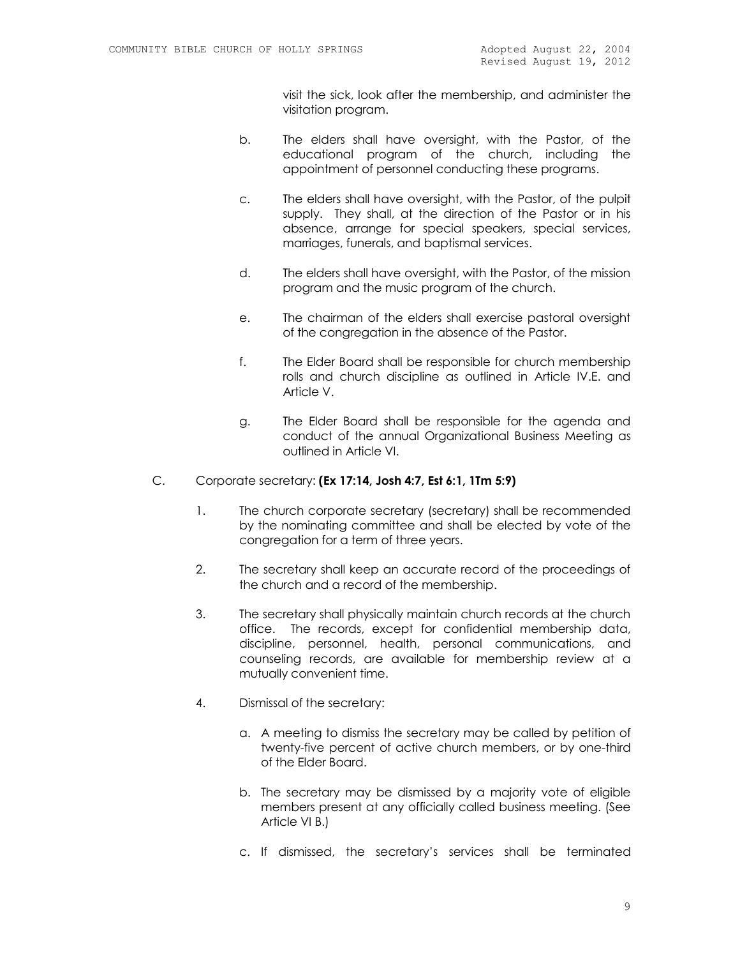visit the sick, look after the membership, and administer the visitation program.

- b. The elders shall have oversight, with the Pastor, of the educational program of the church, including the appointment of personnel conducting these programs.
- c. The elders shall have oversight, with the Pastor, of the pulpit supply. They shall, at the direction of the Pastor or in his absence, arrange for special speakers, special services, marriages, funerals, and baptismal services.
- d. The elders shall have oversight, with the Pastor, of the mission program and the music program of the church.
- e. The chairman of the elders shall exercise pastoral oversight of the congregation in the absence of the Pastor.
- f. The Elder Board shall be responsible for church membership rolls and church discipline as outlined in Article IV.E. and Article V.
- g. The Elder Board shall be responsible for the agenda and conduct of the annual Organizational Business Meeting as outlined in Article VI.

#### C. Corporate secretary: **(Ex 17:14, Josh 4:7, Est 6:1, 1Tm 5:9)**

- 1. The church corporate secretary (secretary) shall be recommended by the nominating committee and shall be elected by vote of the congregation for a term of three years.
- 2. The secretary shall keep an accurate record of the proceedings of the church and a record of the membership.
- 3. The secretary shall physically maintain church records at the church office. The records, except for confidential membership data, discipline, personnel, health, personal communications, and counseling records, are available for membership review at a mutually convenient time.
- 4. Dismissal of the secretary:
	- a. A meeting to dismiss the secretary may be called by petition of twenty-five percent of active church members, or by one-third of the Elder Board.
	- b. The secretary may be dismissed by a majority vote of eligible members present at any officially called business meeting. (See Article VI B.)
	- c. If dismissed, the secretary's services shall be terminated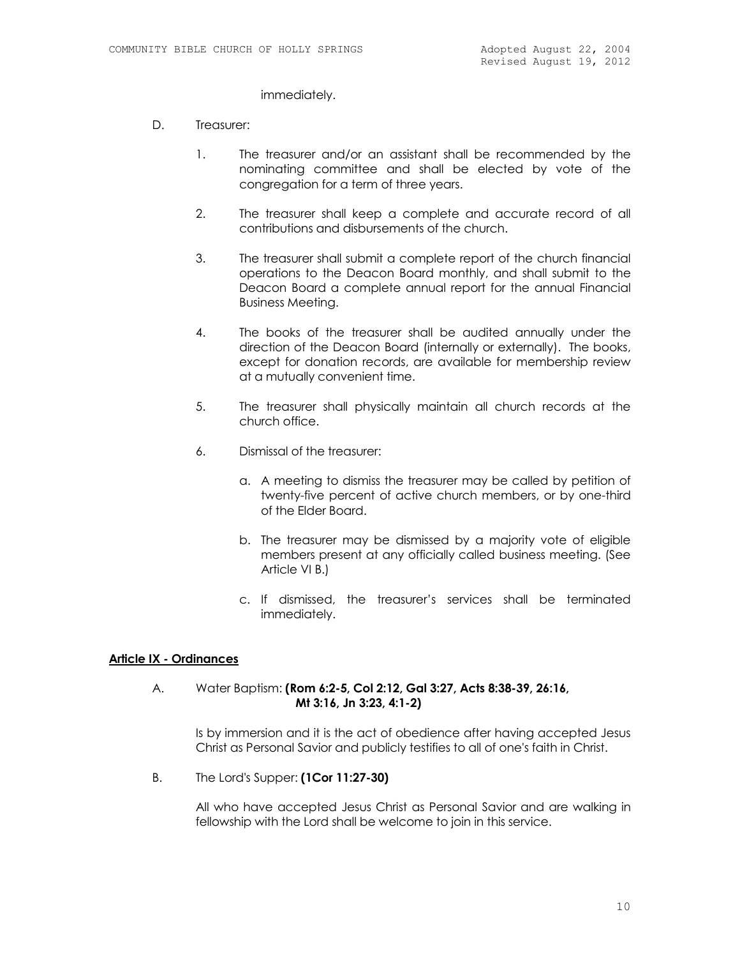immediately.

- D. Treasurer:
	- 1. The treasurer and/or an assistant shall be recommended by the nominating committee and shall be elected by vote of the congregation for a term of three years.
	- 2. The treasurer shall keep a complete and accurate record of all contributions and disbursements of the church.
	- 3. The treasurer shall submit a complete report of the church financial operations to the Deacon Board monthly, and shall submit to the Deacon Board a complete annual report for the annual Financial Business Meeting.
	- 4. The books of the treasurer shall be audited annually under the direction of the Deacon Board (internally or externally). The books, except for donation records, are available for membership review at a mutually convenient time.
	- 5. The treasurer shall physically maintain all church records at the church office.
	- 6. Dismissal of the treasurer:
		- a. A meeting to dismiss the treasurer may be called by petition of twenty-five percent of active church members, or by one-third of the Elder Board.
		- b. The treasurer may be dismissed by a majority vote of eligible members present at any officially called business meeting. (See Article VI B.)
		- c. If dismissed, the treasurer's services shall be terminated immediately.

# **Article IX - Ordinances**

### A. Water Baptism: **(Rom 6:2-5, Col 2:12, Gal 3:27, Acts 8:38-39, 26:16, Mt 3:16, Jn 3:23, 4:1-2)**

Is by immersion and it is the act of obedience after having accepted Jesus Christ as Personal Savior and publicly testifies to all of one's faith in Christ.

B. The Lord's Supper: **(1Cor 11:27-30)**

All who have accepted Jesus Christ as Personal Savior and are walking in fellowship with the Lord shall be welcome to join in this service.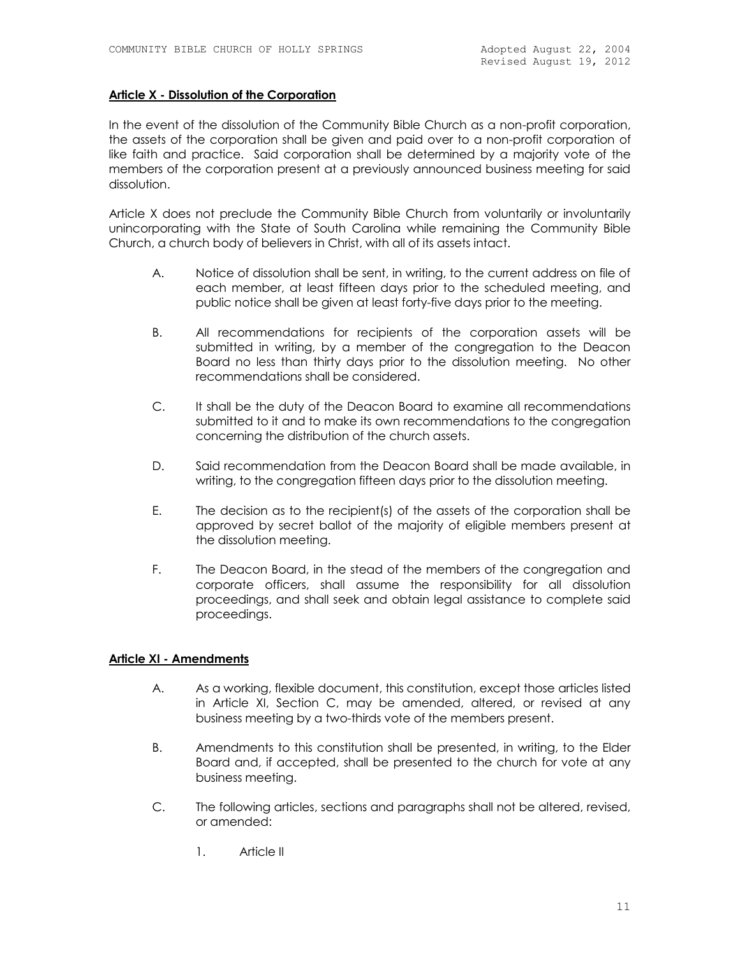#### **Article X - Dissolution of the Corporation**

In the event of the dissolution of the Community Bible Church as a non-profit corporation, the assets of the corporation shall be given and paid over to a non-profit corporation of like faith and practice. Said corporation shall be determined by a majority vote of the members of the corporation present at a previously announced business meeting for said dissolution.

Article X does not preclude the Community Bible Church from voluntarily or involuntarily unincorporating with the State of South Carolina while remaining the Community Bible Church, a church body of believers in Christ, with all of its assets intact.

- A. Notice of dissolution shall be sent, in writing, to the current address on file of each member, at least fifteen days prior to the scheduled meeting, and public notice shall be given at least forty-five days prior to the meeting.
- B. All recommendations for recipients of the corporation assets will be submitted in writing, by a member of the congregation to the Deacon Board no less than thirty days prior to the dissolution meeting. No other recommendations shall be considered.
- C. It shall be the duty of the Deacon Board to examine all recommendations submitted to it and to make its own recommendations to the congregation concerning the distribution of the church assets.
- D. Said recommendation from the Deacon Board shall be made available, in writing, to the congregation fifteen days prior to the dissolution meeting.
- E. The decision as to the recipient(s) of the assets of the corporation shall be approved by secret ballot of the majority of eligible members present at the dissolution meeting.
- F. The Deacon Board, in the stead of the members of the congregation and corporate officers, shall assume the responsibility for all dissolution proceedings, and shall seek and obtain legal assistance to complete said proceedings.

# **Article XI - Amendments**

- A. As a working, flexible document, this constitution, except those articles listed in Article XI, Section C, may be amended, altered, or revised at any business meeting by a two-thirds vote of the members present.
- B. Amendments to this constitution shall be presented, in writing, to the Elder Board and, if accepted, shall be presented to the church for vote at any business meeting.
- C. The following articles, sections and paragraphs shall not be altered, revised, or amended:
	- 1. Article II